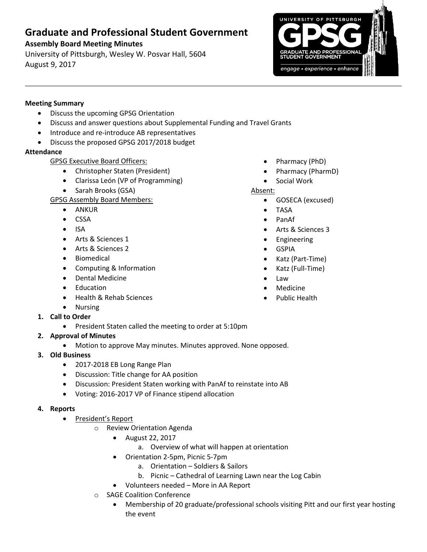# **Graduate and Professional Student Government**

## **Assembly Board Meeting Minutes**

University of Pittsburgh, Wesley W. Posvar Hall, 5604 August 9, 2017



#### **Meeting Summary**

- Discuss the upcoming GPSG Orientation
- Discuss and answer questions about Supplemental Funding and Travel Grants
- Introduce and re-introduce AB representatives
- Discuss the proposed GPSG 2017/2018 budget

## **Attendance**

- GPSG Executive Board Officers:
	- Christopher Staten (President)
	- Clarissa León (VP of Programming)
	- Sarah Brooks (GSA)

GPSG Assembly Board Members:

- ANKUR
- CSSA
- $\bullet$  ISA
- Arts & Sciences 1
- Arts & Sciences 2
- **•** Biomedical
- Computing & Information
- Dental Medicine
- Education

• Nursing

Health & Rehab Sciences

- Pharmacy (PhD)
- Pharmacy (PharmD)
- Social Work

## Absent:

- GOSECA (excused)
- TASA
- PanAf
- Arts & Sciences 3
- Engineering
- GSPIA
- Katz (Part-Time)
- Katz (Full-Time)
- Law
- Medicine
- Public Health

- **1. Call to Order**
	- President Staten called the meeting to order at 5:10pm
- **2. Approval of Minutes** 
	- Motion to approve May minutes. Minutes approved. None opposed.
- **3. Old Business**
	- 2017-2018 EB Long Range Plan
	- Discussion: Title change for AA position
	- Discussion: President Staten working with PanAf to reinstate into AB
	- Voting: 2016-2017 VP of Finance stipend allocation
- **4. Reports** 
	- President's Report
		- o Review Orientation Agenda
			- August 22, 2017
				- a. Overview of what will happen at orientation
			- Orientation 2-5pm, Picnic 5-7pm
				- a. Orientation Soldiers & Sailors
				- b. Picnic Cathedral of Learning Lawn near the Log Cabin
			- Volunteers needed More in AA Report
		- o SAGE Coalition Conference
			- Membership of 20 graduate/professional schools visiting Pitt and our first year hosting the event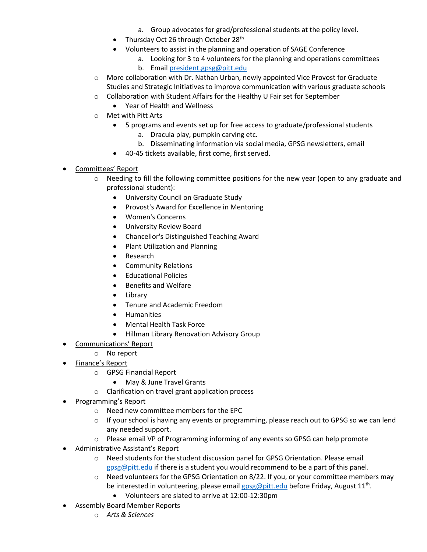- a. Group advocates for grad/professional students at the policy level.
- Thursday Oct 26 through October 28<sup>th</sup>
- Volunteers to assist in the planning and operation of SAGE Conference
	- a. Looking for 3 to 4 volunteers for the planning and operations committees
	- b. Email [president.gpsg@pitt.edu](mailto:president.gpsg@pitt.edu)
- o More collaboration with Dr. Nathan Urban, newly appointed Vice Provost for Graduate Studies and Strategic Initiatives to improve communication with various graduate schools
- o Collaboration with Student Affairs for the Healthy U Fair set for September
	- Year of Health and Wellness
- o Met with Pitt Arts
	- 5 programs and events set up for free access to graduate/professional students
		- a. Dracula play, pumpkin carving etc.
			- b. Disseminating information via social media, GPSG newsletters, email
	- 40-45 tickets available, first come, first served.
- Committees' Report
	- $\circ$  Needing to fill the following committee positions for the new year (open to any graduate and professional student):
		- University Council on Graduate Study
		- Provost's Award for Excellence in Mentoring
		- Women's Concerns
		- **•** University Review Board
		- Chancellor's Distinguished Teaching Award
		- Plant Utilization and Planning
		- Research
		- Community Relations
		- Educational Policies
		- Benefits and Welfare
		- Library
		- Tenure and Academic Freedom
		- Humanities
		- Mental Health Task Force
		- Hillman Library Renovation Advisory Group
- Communications' Report
- o No report
- Finance's Report
	- o GPSG Financial Report
		- May & June Travel Grants
	- o Clarification on travel grant application process
- Programming's Report
	- o Need new committee members for the EPC
	- $\circ$  If your school is having any events or programming, please reach out to GPSG so we can lend any needed support.
	- o Please email VP of Programming informing of any events so GPSG can help promote
- Administrative Assistant's Report
	- o Need students for the student discussion panel for GPSG Orientation. Please email [gpsg@pitt.edu](mailto:gpsg@pitt.edu) if there is a student you would recommend to be a part of this panel.
	- o Need volunteers for the GPSG Orientation on 8/22. If you, or your committee members may be interested in volunteering, please email **gpsg@pitt.edu** before Friday, August 11<sup>th</sup>.
		- Volunteers are slated to arrive at 12:00-12:30pm
- Assembly Board Member Reports
	- o *Arts & Sciences*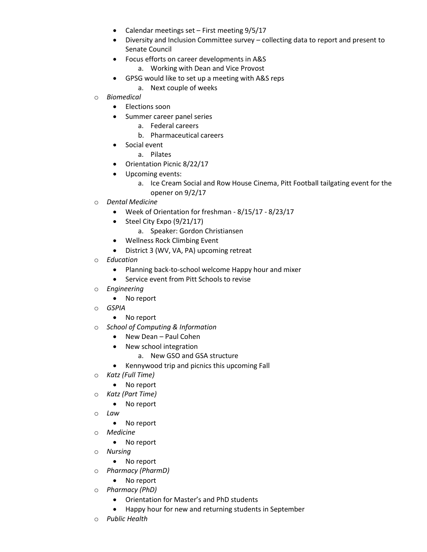- Calendar meetings set First meeting 9/5/17
- Diversity and Inclusion Committee survey collecting data to report and present to Senate Council
- Focus efforts on career developments in A&S
	- a. Working with Dean and Vice Provost
	- GPSG would like to set up a meeting with A&S reps
		- a. Next couple of weeks
- o *Biomedical*
	- Elections soon
	- Summer career panel series
		- a. Federal careers
		- b. Pharmaceutical careers
	- Social event
		- a. Pilates
	- Orientation Picnic 8/22/17
	- Upcoming events:
		- a. Ice Cream Social and Row House Cinema, Pitt Football tailgating event for the opener on 9/2/17
- o *Dental Medicine*
	- Week of Orientation for freshman 8/15/17 8/23/17
	- $\bullet$  Steel City Expo (9/21/17)
		- a. Speaker: Gordon Christiansen
	- Wellness Rock Climbing Event
	- District 3 (WV, VA, PA) upcoming retreat
- o *Education*
	- Planning back-to-school welcome Happy hour and mixer
	- Service event from Pitt Schools to revise
- o *Engineering*
	- No report
- o *GSPIA*
	- No report
- o *School of Computing & Information*
	- New Dean Paul Cohen
	- New school integration
		- a. New GSO and GSA structure
	- Kennywood trip and picnics this upcoming Fall
- o *Katz (Full Time)*
	- No report
- o *Katz (Part Time)*
	- No report
- o *Law*
	- No report
- o *Medicine*
	- No report
- o *Nursing* 
	- No report
- o *Pharmacy (PharmD)*
	- No report
- o *Pharmacy (PhD)*
	- Orientation for Master's and PhD students
	- Happy hour for new and returning students in September
- o *Public Health*